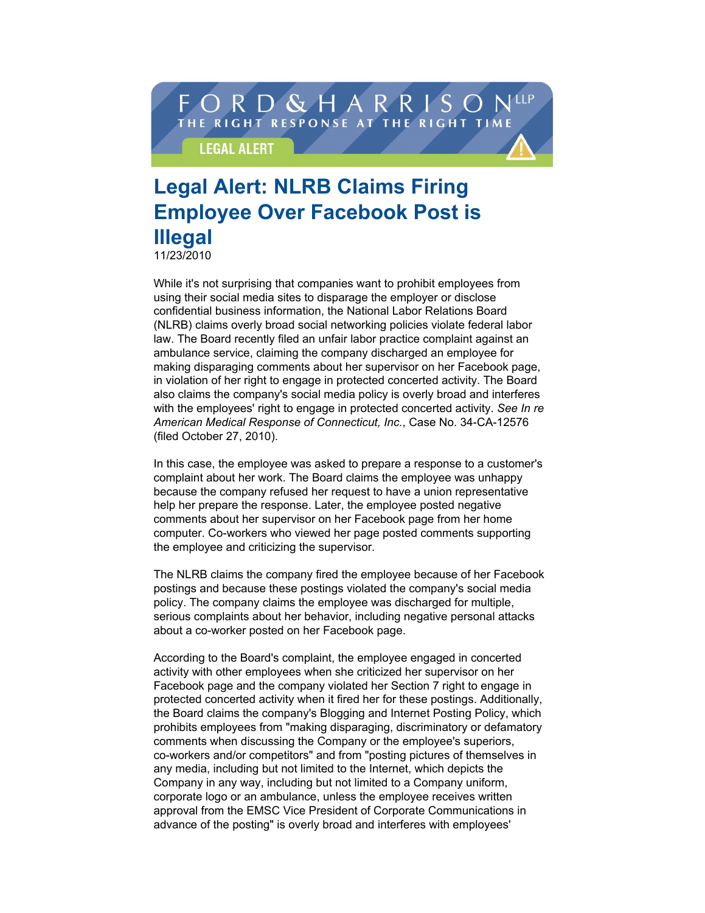## ORD & HARRIS THE RIGHT RESPONSE AT THE RIGHT TIME **LEGAL ALERT**

## **Legal Alert: NLRB Claims Firing Employee Over Facebook Post is Illegal**

**11/23/2010**

**While it's not surprising that companies want to prohibit employees from using their social media sites to disparage the employer or disclose confidential business information, the National Labor Relations Board (NLRB) claims overly broad social networking policies violate federal labor law. The Board recently filed an unfair labor practice complaint against an ambulance service, claiming the company discharged an employee for making disparaging comments about her supervisor on her Facebook page, in violation of her right to engage in protected concerted activity. The Board also claims the company's social media policy is overly broad and interferes with the employees' right to engage in protected concerted activity.** *See In re American Medical Response of Connecticut, Inc.***, Case No. 34-CA-12576 (filed October 27, 2010).**

**In this case, the employee was asked to prepare a response to a customer's complaint about her work. The Board claims the employee was unhappy because the company refused her request to have a union representative help her prepare the response. Later, the employee posted negative comments about her supervisor on her Facebook page from her home computer. Co-workers who viewed her page posted comments supporting the employee and criticizing the supervisor.**

**The NLRB claims the company fired the employee because of her Facebook postings and because these postings violated the company's social media policy. The company claims the employee was discharged for multiple, serious complaints about her behavior, including negative personal attacks about a co-worker posted on her Facebook page.**

**According to the Board's complaint, the employee engaged in concerted activity with other employees when she criticized her supervisor on her Facebook page and the company violated her Section 7 right to engage in protected concerted activity when it fired her for these postings. Additionally, the Board claims the company's Blogging and Internet Posting Policy, which prohibits employees from "making disparaging, discriminatory or defamatory comments when discussing the Company or the employee's superiors, co-workers and/or competitors" and from "posting pictures of themselves in any media, including but not limited to the Internet, which depicts the Company in any way, including but not limited to a Company uniform, corporate logo or an ambulance, unless the employee receives written approval from the EMSC Vice President of Corporate Communications in advance of the posting" is overly broad and interferes with employees'**